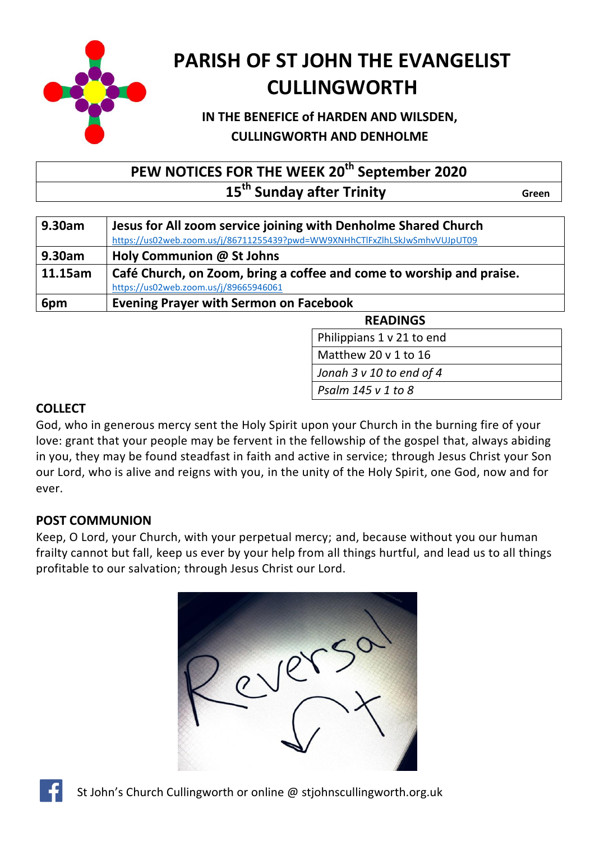

# **PARISH OF ST JOHN THE EVANGELIST CULLINGWORTH**

# **IN THE BENEFICE of HARDEN AND WILSDEN, CULLINGWORTH AND DENHOLME**

# **PEW NOTICES FOR THE WEEK 20th September 2020 15<sup>th</sup> Sunday after Trinity Construction Construction Creen**

| 9.30am  | Jesus for All zoom service joining with Denholme Shared Church             |  |
|---------|----------------------------------------------------------------------------|--|
|         | https://us02web.zoom.us/j/86711255439?pwd=WW9XNHhCTlFxZlhLSkJwSmhvVUJpUT09 |  |
| 9.30am  | Holy Communion @ St Johns                                                  |  |
| 11.15am | Café Church, on Zoom, bring a coffee and come to worship and praise.       |  |
|         | https://us02web.zoom.us/j/89665946061                                      |  |
| 6pm     | <b>Evening Prayer with Sermon on Facebook</b>                              |  |

**READINGS** 

Philippians 1 v 21 to end

Matthew 20 v 1 to 16

Jonah 3 v 10 to end of 4

Bless the Lord my soul *Psalm 145 v 1 to 8*

# **COLLECT**

God, who in generous mercy sent the Holy Spirit upon your Church in the burning fire of your love: grant that your people may be fervent in the fellowship of the gospel that, always abiding in you, they may be found steadfast in faith and active in service; through Jesus Christ your Son our Lord, who is alive and reigns with you, in the unity of the Holy Spirit, one God, now and for ever.

# **POST COMMUNION**

Keep, O Lord, your Church, with your perpetual mercy; and, because without you our human frailty cannot but fall, keep us ever by your help from all things hurtful, and lead us to all things profitable to our salvation; through Jesus Christ our Lord.



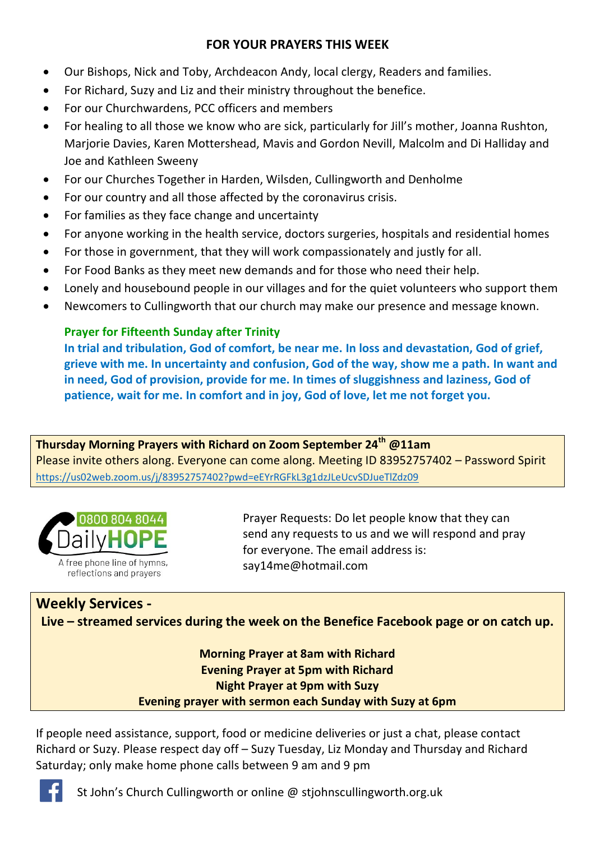## **FOR YOUR PRAYERS THIS WEEK**

- Our Bishops, Nick and Toby, Archdeacon Andy, local clergy, Readers and families.
- For Richard, Suzy and Liz and their ministry throughout the benefice.
- For our Churchwardens, PCC officers and members
- For healing to all those we know who are sick, particularly for Jill's mother, Joanna Rushton, Marjorie Davies, Karen Mottershead, Mavis and Gordon Nevill, Malcolm and Di Halliday and Joe and Kathleen Sweeny
- For our Churches Together in Harden, Wilsden, Cullingworth and Denholme
- For our country and all those affected by the coronavirus crisis.
- For families as they face change and uncertainty
- For anyone working in the health service, doctors surgeries, hospitals and residential homes
- For those in government, that they will work compassionately and justly for all.
- For Food Banks as they meet new demands and for those who need their help.
- Lonely and housebound people in our villages and for the quiet volunteers who support them
- Newcomers to Cullingworth that our church may make our presence and message known.

# **Prayer for Fifteenth Sunday after Trinity**

**In trial and tribulation, God of comfort, be near me. In loss and devastation, God of grief, grieve with me. In uncertainty and confusion, God of the way, show me a path. In want and in need, God of provision, provide for me. In times of sluggishness and laziness, God of patience, wait for me. In comfort and in joy, God of love, let me not forget you.**

## **Thursday Morning Prayers with Richard on Zoom September 24th @11am** Please invite others along. Everyone can come along. Meeting ID 83952757402 – Password Spirit <https://us02web.zoom.us/j/83952757402?pwd=eEYrRGFkL3g1dzJLeUcvSDJueTlZdz09>



Prayer Requests: Do let people know that they can send any requests to us and we will respond and pray for everyone. The email address is: [say14me@hotmail.com](mailto:say14me@hotmail.com)

# **Weekly Services - Live – streamed services during the week on the Benefice Facebook page or on catch up.**

## **Morning Prayer at 8am with Richard Evening Prayer at 5pm with Richard Night Prayer at 9pm with Suzy Evening prayer with sermon each Sunday with Suzy at 6pm**

If people need assistance, support, food or medicine deliveries or just a chat, please contact Richard or Suzy. Please respect day off – Suzy Tuesday, Liz Monday and Thursday and Richard Saturday; only make home phone calls between 9 am and 9 pm



St John's Church Cullingworth or online @ stjohnscullingworth.org.uk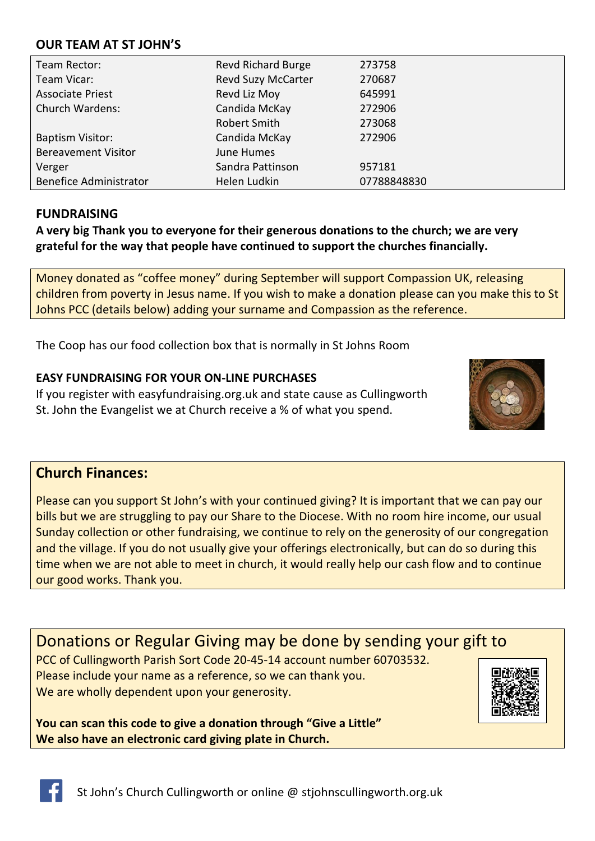### **OUR TEAM AT ST JOHN'S**

| Team Rector:                  | <b>Revd Richard Burge</b> | 273758      |
|-------------------------------|---------------------------|-------------|
| Team Vicar:                   | <b>Revd Suzy McCarter</b> | 270687      |
| <b>Associate Priest</b>       | Revd Liz Moy              | 645991      |
| <b>Church Wardens:</b>        | Candida McKay             | 272906      |
|                               | <b>Robert Smith</b>       | 273068      |
| <b>Baptism Visitor:</b>       | Candida McKay             | 272906      |
| <b>Bereavement Visitor</b>    | June Humes                |             |
| Verger                        | Sandra Pattinson          | 957181      |
| <b>Benefice Administrator</b> | Helen Ludkin              | 07788848830 |

### **FUNDRAISING**

**A very big Thank you to everyone for their generous donations to the church; we are very grateful for the way that people have continued to support the churches financially.** 

Money donated as "coffee money" during September will support Compassion UK, releasing children from poverty in Jesus name. If you wish to make a donation please can you make this to St Johns PCC (details below) adding your surname and Compassion as the reference.

The Coop has our food collection box that is normally in St Johns Room

#### **EASY FUNDRAISING FOR YOUR ON-LINE PURCHASES**

If you register with easyfundraising.org.uk and state cause as Cullingworth St. John the Evangelist we at Church receive a % of what you spend.



# **Church Finances:**

Please can you support St John's with your continued giving? It is important that we can pay our bills but we are struggling to pay our Share to the Diocese. With no room hire income, our usual Sunday collection or other fundraising, we continue to rely on the generosity of our congregation and the village. If you do not usually give your offerings electronically, but can do so during this time when we are not able to meet in church, it would really help our cash flow and to continue our good works. Thank you.

Donations or Regular Giving may be done by sending your gift to PCC of Cullingworth Parish Sort Code 20-45-14 account number 60703532. Please include your name as a reference, so we can thank you. We are wholly dependent upon your generosity.

**You can scan this code to give a donation through "Give a Little" We also have an electronic card giving plate in Church.**



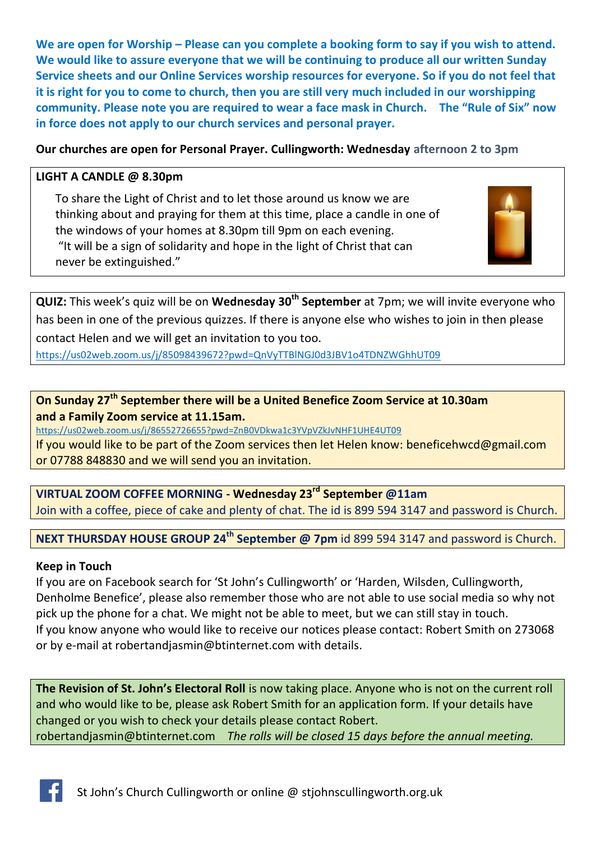We are open for Worship – Please can you complete a booking form to say if you wish to attend. **We would like to assure everyone that we will be continuing to produce all our written Sunday Service sheets and our Online Services worship resources for everyone. So if you do not feel that it is right for you to come to church, then you are still very much included in our worshipping community. Please note you are required to wear a face mask in Church. The "Rule of Six" now in force does not apply to our church services and personal prayer.** 

## **Our churches are open for Personal Prayer. Cullingworth: Wednesday afternoon 2 to 3pm**

#### **LIGHT A CANDLE @ 8.30pm**

To share the Light of Christ and to let those around us know we are thinking about and praying for them at this time, place a candle in one of the windows of your homes at 8.30pm till 9pm on each evening. "It will be a sign of solidarity and hope in the light of Christ that can never be extinguished."



**QUIZ:** This week's quiz will be on **Wednesday 30th September** at 7pm; we will invite everyone who has been in one of the previous quizzes. If there is anyone else who wishes to join in then please contact Helen and we will get an invitation to you too.

<https://us02web.zoom.us/j/85098439672?pwd=QnVyTTBlNGJ0d3JBV1o4TDNZWGhhUT09>

**On Sunday 27th September there will be a United Benefice Zoom Service at 10.30am and a Family Zoom service at 11.15am.**

<https://us02web.zoom.us/j/86552726655?pwd=ZnB0VDkwa1c3YVpVZkJvNHF1UHE4UT09>

If you would like to be part of the Zoom services then let Helen know: [beneficehwcd@gmail.com](mailto:beneficehwcd@gmail.com) or 07788 848830 and we will send you an invitation.

**VIRTUAL ZOOM COFFEE MORNING - Wednesday 23rd September @11am**  Join with a coffee, piece of cake and plenty of chat. The id is 899 594 3147 and password is Church.

**NEXT THURSDAY HOUSE GROUP 24th September @ 7pm** id 899 594 3147 and password is Church.

#### **Keep in Touch**

If you are on Facebook search for 'St John's Cullingworth' or 'Harden, Wilsden, Cullingworth, Denholme Benefice', please also remember those who are not able to use social media so why not pick up the phone for a chat. We might not be able to meet, but we can still stay in touch. If you know anyone who would like to receive our notices please contact: Robert Smith on 273068 or by e-mail at [robertandjasmin@btinternet.com](mailto:robertandjasmin@btinternet.com) with details.

**The Revision of St. John's Electoral Roll** is now taking place. Anyone who is not on the current roll and who would like to be, please ask Robert Smith for an application form. If your details have changed or you wish to check your details please contact Robert. [robertandjasmin@btinternet.com](mailto:robertandjasmin@btinternet.com) *The rolls will be closed 15 days before the annual meeting.*